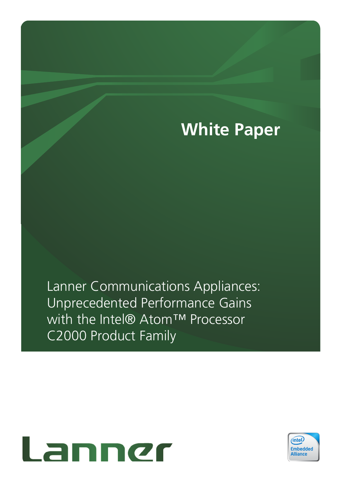# **White Paper**

Lanner Communications Appliances: Unprecedented Performance Gains with the Intel® Atom™ Processor C2000 Product Family



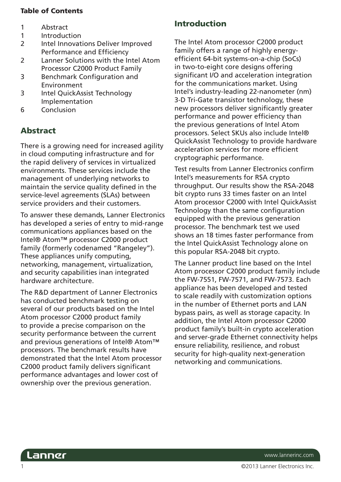#### Table of Contents

- 1 Abstract
- 1 Introduction
- 2 Intel Innovations Deliver Improved Performance and Efficiency
- 2 Lanner Solutions with the Intel Atom Processor C2000 Product Family
- 3 Benchmark Configuration and Environment
- 3 Intel QuickAssist Technology Implementation
- 6 Conclusion

# Abstract

There is a growing need for increased agility in cloud computing infrastructure and for the rapid delivery of services in virtualized environments. These services include the management of underlying networks to maintain the service quality defined in the service-level agreements (SLAs) between service providers and their customers.

To answer these demands, Lanner Electronics has developed a series of entry to mid-range communications appliances based on the Intel® Atom™ processor C2000 product family (formerly codenamed "Rangeley"). These appliances unify computing, networking, management, virtualization, and security capabilities inan integrated hardware architecture.

The R&D department of Lanner Electronics has conducted benchmark testing on several of our products based on the Intel Atom processor C2000 product family to provide a precise comparison on the security performance between the current and previous generations of Intel® Atom™ processors. The benchmark results have demonstrated that the Intel Atom processor C2000 product family delivers significant performance advantages and lower cost of ownership over the previous generation.

# Introduction

The Intel Atom processor C2000 product family offers a range of highly energyefficient 64-bit systems-on-a-chip (SoCs) in two-to-eight core designs offering significant I/O and acceleration integration for the communications market. Using Intel's industry-leading 22-nanometer (nm) 3-D Tri-Gate transistor technology, these new processors deliver significantly greater performance and power efficiency than the previous generations of Intel Atom processors. Select SKUs also include Intel® QuickAssist Technology to provide hardware acceleration services for more efficient cryptographic performance.

Test results from Lanner Electronics confirm Intel's measurements for RSA crypto throughput. Our results show the RSA-2048 bit crypto runs 33 times faster on an Intel Atom processor C2000 with Intel QuickAssist Technology than the same configuration equipped with the previous generation processor. The benchmark test we used shows an 18 times faster performance from the Intel QuickAssist Technology alone on this popular RSA-2048 bit crypto.

The Lanner product line based on the Intel Atom processor C2000 product family include the FW-7551, FW-7571, and FW-7573. Each appliance has been developed and tested to scale readily with customization options in the number of Ethernet ports and LAN bypass pairs, as well as storage capacity. In addition, the Intel Atom processor C2000 product family's built-in crypto acceleration and server-grade Ethernet connectivity helps ensure reliability, resilience, and robust security for high-quality next-generation networking and communications.

Lanner

www.lannerinc.com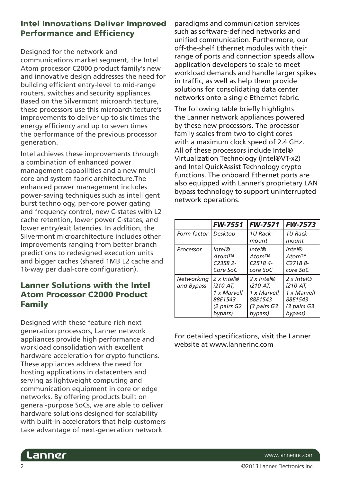## Intel Innovations Deliver Improved **Performance and Efficiency**

Designed for the network and

communications market segment, the Intel Atom processor C2000 product family's new and innovative design addresses the need for building efficient entry-level to mid-range routers, switches and security appliances. Based on the Silvermont microarchitecture, these processors use this microarchitecture's improvements to deliver up to six times the energy efficiency and up to seven times the performance of the previous processor generation.

Intel achieves these improvements through a combination of enhanced power management capabilities and a new multicore and system fabric architecture.The enhanced power management includes power-saving techniques such as intelligent burst technology, per-core power gating and frequency control, new C-states with L2 cache retention, lower power C-states, and lower entry/exit latencies. In addition, the Silvermont microarchitecture includes other improvements ranging from better branch predictions to redesigned execution units and bigger caches (shared 1MB L2 cache and 16-way per dual-core configuration).

# Lanner Solutions with the Intel Atom Processor C2000 Product Family

Designed with these feature-rich next generation processors, Lanner network appliances provide high performance and workload consolidation with excellent hardware acceleration for crypto functions. These appliances address the need for hosting applications in datacenters and serving as lightweight computing and communication equipment in core or edge networks. By offering products built on general-purpose SoCs, we are able to deliver hardware solutions designed for scalability with built-in accelerators that help customers take advantage of next-generation network

paradigms and communication services such as software-defined networks and unified communication. Furthermore, our off-the-shelf Ethernet modules with their range of ports and connection speeds allow application developers to scale to meet workload demands and handle larger spikes in traffic, as well as help them provide solutions for consolidating data center networks onto a single Ethernet fabric.

The following table briefly highlights the Lanner network appliances powered by these new processors. The processor family scales from two to eight cores with a maximum clock speed of 2.4 GHz. All of these processors include Intel® Virtualization Technology (Intel®VT-x2) and Intel QuickAssist Technology crypto functions. The onboard Ethernet ports are also equipped with Lanner's proprietary LAN bypass technology to support uninterrupted network operations.

|             | <b>FW-7551</b>         | <b>FW-7571</b>        | <b>FW-7573</b>        |
|-------------|------------------------|-----------------------|-----------------------|
| Form factor | Desktop                | 1U Rack-              | 1U Rack-              |
|             |                        | mount                 | mount                 |
| Processor   | Inte@                  | Intel@                | $Inte/\mathbb{Q}$     |
|             | Atom <sup>TM</sup>     | $Atom^{TM}$           | Atom <sup>TM</sup>    |
|             | $C2358$ <sub>2</sub> - | C <sub>25184</sub>    | C27188-               |
|             | Core SoC               | core SoC              | core SoC              |
| Networking  | 2 x Intel $\circledR$  | 2 x Intel $\circledR$ | 2 x Intel $\circledR$ |
| and Bypass  | i210-AT.               | i210-AT.              | i210-AT,              |
|             | 1 x Marvell            | 1 x Marvell           | 1 x Marvell           |
|             | 88E1543                | 88E1543               | 88E1543               |
|             | (2 pairs G2            | (3 pairs G3           | (3 pairs G3           |
|             | bypass)                | bypass)               | bypass)               |

For detailed specifications, visit the Lanner website at www.lannerinc.com



www.lannerinc.com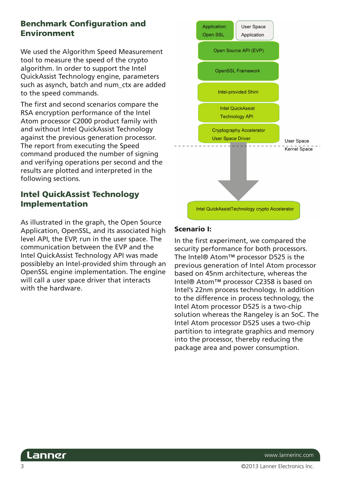## Benchmark Configuration and Environment

We used the Algorithm Speed Measurement tool to measure the speed of the crypto algorithm. In order to support the Intel QuickAssist Technology engine, parameters such as asynch, batch and num\_ctx are added to the speed commands.

The first and second scenarios compare the RSA encryption performance of the Intel Atom processor C2000 product family with and without Intel QuickAssist Technology against the previous generation processor. The report from executing the Speed command produced the number of signing and verifying operations per second and the results are plotted and interpreted in the following sections.

## Intel QuickAssist Technology Implementation

As illustrated in the graph, the Open Source Application, OpenSSL, and its associated high level API, the EVP, run in the user space. The communication between the EVP and the Intel QuickAssist Technology API was made possibleby an Intel-provided shim through an OpenSSL engine implementation. The engine will call a user space driver that interacts with the hardware.



#### Scenario I:

In the first experiment, we compared the security performance for both processors. The Intel® Atom™ processor D525 is the previous generation of Intel Atom processor based on 45nm architecture, whereas the Intel® Atom™ processor C2358 is based on Intel's 22nm process technology. In addition to the difference in process technology, the Intel Atom processor D525 is a two-chip solution whereas the Rangeley is an SoC. The Intel Atom processor D525 uses a two-chip partition to integrate graphics and memory into the processor, thereby reducing the package area and power consumption.



www.lannerinc.com

©2013 Lanner Electronics Inc.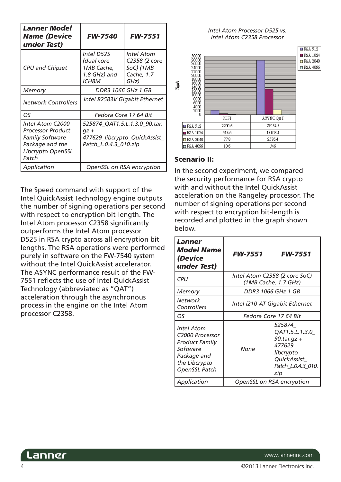| Lanner Model<br><b>Name (Device</b><br>under Test)                                                                      | <b>FW-7540</b>                                                                                    | <b>FW-7551</b>                                                 |  |
|-------------------------------------------------------------------------------------------------------------------------|---------------------------------------------------------------------------------------------------|----------------------------------------------------------------|--|
| <b>CPU and Chipset</b>                                                                                                  | Intel D525<br>(dual core<br>1MB Cache,<br>1.8 GHz) and<br><b>ICH8M</b>                            | Intel Atom<br>C2358 (2 core<br>SoC) (1MB<br>Cache, 1.7<br>GHz) |  |
| Memory                                                                                                                  | DDR3 1066 GHz 1 GB                                                                                |                                                                |  |
| <b>Network Controllers</b>                                                                                              | Intel 82583V Gigabit Ethernet                                                                     |                                                                |  |
| O <sub>S</sub>                                                                                                          |                                                                                                   | Fedora Core 17 64 Bit                                          |  |
| Intel Atom C2000<br><b>Processor Product</b><br><b>Family Software</b><br>Package and the<br>Libcrypto OpenSSL<br>Patch | 525874_QAT1.5.L.1.3.0_90.tar.<br>$qz +$<br>477629_libcrypto_QuickAssist_<br>Patch_L.0.4.3_010.zip |                                                                |  |
| Application                                                                                                             | OpenSSL on RSA encryption                                                                         |                                                                |  |

The Speed command with support of the Intel QuickAssist Technology engine outputs the number of signing operations per second with respect to encryption bit-length. The Intel Atom processor C2358 significantly outperforms the Intel Atom processor D525 in RSA crypto across all encryption bit lengths. The RSA operations were performed purely in software on the FW-7540 system without the Intel QuickAssist accelerator. The ASYNC performance result of the FW-7551 reflects the use of Intel QuickAssist Technology (abbreviated as "QAT") acceleration through the asynchronous process in the engine on the Intel Atom processor C2358.

*Intel Atom Processor D525 vs. Intel Atom C2358 Processor* 



#### Scenario II:

In the second experiment, we compared the security performance for RSA crypto with and without the Intel QuickAssist acceleration on the Rangeley processor. The number of signing operations per second with respect to encryption bit-length is recorded and plotted in the graph shown below.

| Lanner<br>Model Name<br>(Device<br>under Test)                                                                                         | <b>FW-7551</b>                                        | <b>FW-7551</b>                                                                                              |  |
|----------------------------------------------------------------------------------------------------------------------------------------|-------------------------------------------------------|-------------------------------------------------------------------------------------------------------------|--|
| CPU                                                                                                                                    | Intel Atom C2358 (2 core SoC)<br>(1MB Cache, 1.7 GHz) |                                                                                                             |  |
| Memory                                                                                                                                 | DDR3 1066 GHz 1 GB                                    |                                                                                                             |  |
| Network<br>Controllers                                                                                                                 | Intel i210-AT Gigabit Ethernet                        |                                                                                                             |  |
| OS                                                                                                                                     | Fedora Core 17 64 Bit                                 |                                                                                                             |  |
| Intel Atom<br>C <sub>2000</sub> Processor<br><b>Product Family</b><br>Software<br>Package and<br>the Libcrypto<br><b>OpenSSL Patch</b> | None                                                  | 525874<br>QAT1.5.L.1.3.0<br>90.tar.gz +<br>477629<br>libcrypto_<br>QuickAssist<br>Patch_L.0.4.3_010.<br>zip |  |
| Application                                                                                                                            | OpenSSL on RSA encryption                             |                                                                                                             |  |

 $\Delta$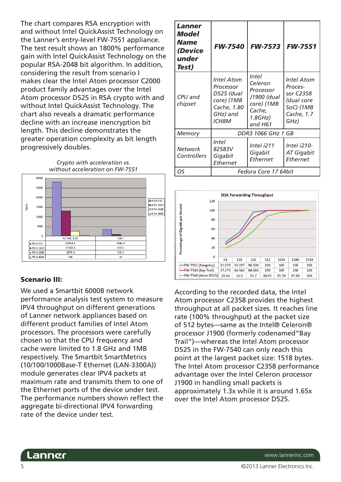The chart compares RSA encryption with and without Intel QuickAssist Technology on the Lanner's entry-level FW-7551 appliance. The test result shows an 1800% performance gain with Intel QuickAssist Technology on the popular RSA-2048 bit algorithm. In addition, considering the result from scenario I makes clear the Intel Atom processor C2000 product family advantages over the Intel Atom processor D525 in RSA crypto with and without Intel QuickAssist Technology. The chart also reveals a dramatic performance decline with an increase inencryption bit length. This decline demonstrates the greater operation complexity as bit length progressively doubles.



#### Scenario III:

We used a Smartbit 6000B network performance analysis test system to measure IPV4 throughput on different generations of Lanner network appliances based on different product families of Intel Atom processors. The processors were carefully chosen so that the CPU frequency and cache were limited to 1.8 GHz and 1MB respectively. The Smartbit SmartMetrics (10/100/1000Base-T Ethernet (LAN-3300A)) module generates clear IPV4 packets at maximum rate and transmits them to one of the Ethernet ports of the device under test. The performance numbers shown reflect the aggregate bi-directional IPV4 forwarding rate of the device under test.

| Lanner<br>Model<br><b>Name</b><br>(Device<br>under<br>Test) | <b>FW-7540</b>                                                                                        | <b>FW-7573</b>                                                                                    | <b>FW-7551</b>                                                                             |
|-------------------------------------------------------------|-------------------------------------------------------------------------------------------------------|---------------------------------------------------------------------------------------------------|--------------------------------------------------------------------------------------------|
| CPU and<br>chipset                                          | <b>Intel Atom</b><br>Processor<br>D525 (dual<br>core) (1MB<br>Cache, 1.80<br>GHz) and<br><b>ICH8M</b> | <i>Intel</i><br>Celeron<br>Processor<br>J1900 (dual<br>core) (1MB<br>Cache,<br>1.8GHz)<br>and H61 | <b>Intel Atom</b><br>Proces-<br>sor C2358<br>(dual core<br>SoC) (1MB<br>Cache, 1.7<br>GHz) |
| Memory                                                      | DDR3 1066 GHz 1 GB                                                                                    |                                                                                                   |                                                                                            |
| Network<br>Controllers                                      | Intel<br>82583V<br>Gigabit<br>Ethernet                                                                | Intel i211<br>Gigabit<br>Ethernet                                                                 | Intel i210-<br>AT Gigabit<br>Ethernet                                                      |
| OS                                                          | Fedora Core 17 64bit                                                                                  |                                                                                                   |                                                                                            |



According to the recorded data, the Intel Atom processor C2358 provides the highest throughput at all packet sizes. It reaches line rate (100% throughput) at the packet size of 512 bytes—same as the Intel® Celeron® processor J1900 (formerly codenamed"Bay Trail")—whereas the Intel Atom processor D525 in the FW-7540 can only reach this point at the largest packet size: 1518 bytes. The Intel Atom processor C2358 performance advantage over the Intel Celeron processor J1900 in handling small packets is approximately 1.3x while it is around 1.65x over the Intel Atom processor D525.